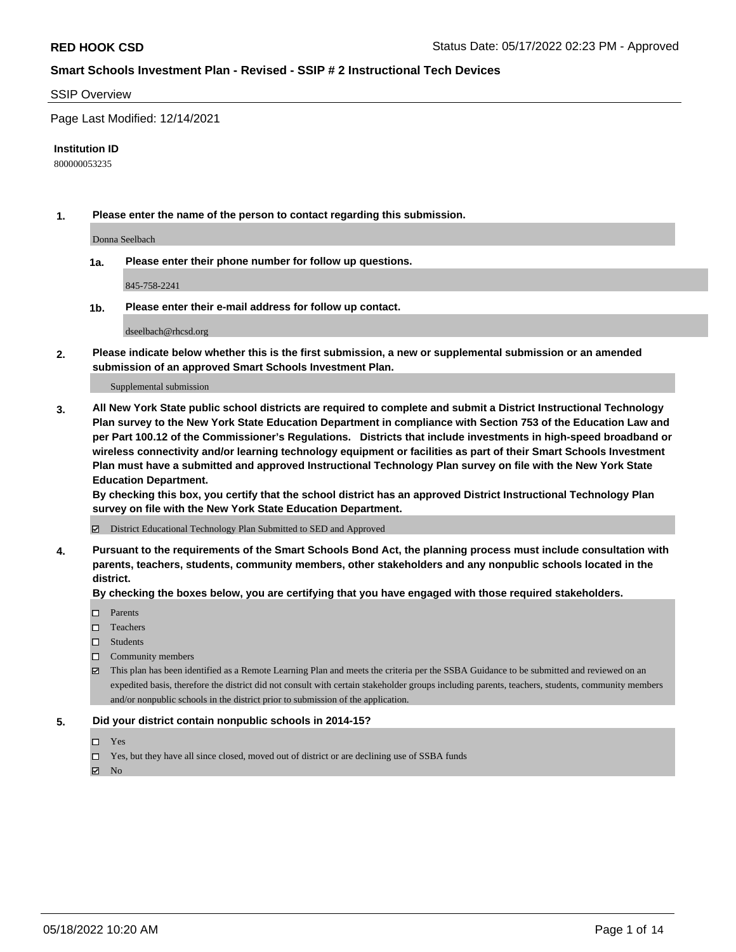#### SSIP Overview

Page Last Modified: 12/14/2021

#### **Institution ID**

800000053235

**1. Please enter the name of the person to contact regarding this submission.**

Donna Seelbach

**1a. Please enter their phone number for follow up questions.**

845-758-2241

**1b. Please enter their e-mail address for follow up contact.**

dseelbach@rhcsd.org

**2. Please indicate below whether this is the first submission, a new or supplemental submission or an amended submission of an approved Smart Schools Investment Plan.**

Supplemental submission

**3. All New York State public school districts are required to complete and submit a District Instructional Technology Plan survey to the New York State Education Department in compliance with Section 753 of the Education Law and per Part 100.12 of the Commissioner's Regulations. Districts that include investments in high-speed broadband or wireless connectivity and/or learning technology equipment or facilities as part of their Smart Schools Investment Plan must have a submitted and approved Instructional Technology Plan survey on file with the New York State Education Department.** 

**By checking this box, you certify that the school district has an approved District Instructional Technology Plan survey on file with the New York State Education Department.**

District Educational Technology Plan Submitted to SED and Approved

**4. Pursuant to the requirements of the Smart Schools Bond Act, the planning process must include consultation with parents, teachers, students, community members, other stakeholders and any nonpublic schools located in the district.** 

**By checking the boxes below, you are certifying that you have engaged with those required stakeholders.**

- □ Parents
- $\square$  Teachers
- □ Students
- $\Box$  Community members
- This plan has been identified as a Remote Learning Plan and meets the criteria per the SSBA Guidance to be submitted and reviewed on an expedited basis, therefore the district did not consult with certain stakeholder groups including parents, teachers, students, community members and/or nonpublic schools in the district prior to submission of the application.

#### **5. Did your district contain nonpublic schools in 2014-15?**

- Yes
- $\Box$  Yes, but they have all since closed, moved out of district or are declining use of SSBA funds

 $\boxtimes$  No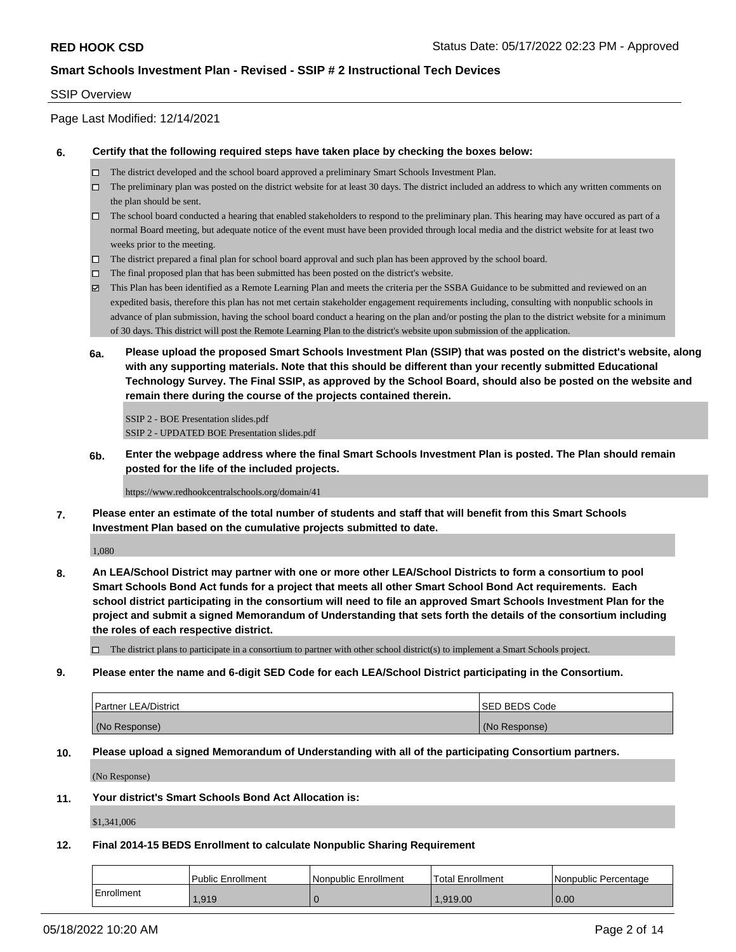## SSIP Overview

# Page Last Modified: 12/14/2021

### **6. Certify that the following required steps have taken place by checking the boxes below:**

- The district developed and the school board approved a preliminary Smart Schools Investment Plan.
- $\Box$  The preliminary plan was posted on the district website for at least 30 days. The district included an address to which any written comments on the plan should be sent.
- $\Box$  The school board conducted a hearing that enabled stakeholders to respond to the preliminary plan. This hearing may have occured as part of a normal Board meeting, but adequate notice of the event must have been provided through local media and the district website for at least two weeks prior to the meeting.
- The district prepared a final plan for school board approval and such plan has been approved by the school board.
- $\Box$  The final proposed plan that has been submitted has been posted on the district's website.
- This Plan has been identified as a Remote Learning Plan and meets the criteria per the SSBA Guidance to be submitted and reviewed on an expedited basis, therefore this plan has not met certain stakeholder engagement requirements including, consulting with nonpublic schools in advance of plan submission, having the school board conduct a hearing on the plan and/or posting the plan to the district website for a minimum of 30 days. This district will post the Remote Learning Plan to the district's website upon submission of the application.
- **6a. Please upload the proposed Smart Schools Investment Plan (SSIP) that was posted on the district's website, along with any supporting materials. Note that this should be different than your recently submitted Educational Technology Survey. The Final SSIP, as approved by the School Board, should also be posted on the website and remain there during the course of the projects contained therein.**

SSIP 2 - BOE Presentation slides.pdf SSIP 2 - UPDATED BOE Presentation slides.pdf

**6b. Enter the webpage address where the final Smart Schools Investment Plan is posted. The Plan should remain posted for the life of the included projects.**

https://www.redhookcentralschools.org/domain/41

**7. Please enter an estimate of the total number of students and staff that will benefit from this Smart Schools Investment Plan based on the cumulative projects submitted to date.**

1,080

**8. An LEA/School District may partner with one or more other LEA/School Districts to form a consortium to pool Smart Schools Bond Act funds for a project that meets all other Smart School Bond Act requirements. Each school district participating in the consortium will need to file an approved Smart Schools Investment Plan for the project and submit a signed Memorandum of Understanding that sets forth the details of the consortium including the roles of each respective district.**

 $\Box$  The district plans to participate in a consortium to partner with other school district(s) to implement a Smart Schools project.

#### **9. Please enter the name and 6-digit SED Code for each LEA/School District participating in the Consortium.**

| <b>Partner LEA/District</b> | <b>ISED BEDS Code</b> |
|-----------------------------|-----------------------|
| (No Response)               | (No Response)         |

## **10. Please upload a signed Memorandum of Understanding with all of the participating Consortium partners.**

(No Response)

#### **11. Your district's Smart Schools Bond Act Allocation is:**

\$1,341,006

# **12. Final 2014-15 BEDS Enrollment to calculate Nonpublic Sharing Requirement**

|            | l Public Enrollment | Nonpublic Enrollment | <b>Total Enrollment</b> | l Nonpublic Percentage |
|------------|---------------------|----------------------|-------------------------|------------------------|
| Enrollment | 1.919               |                      | 1.919.00                | 0.00                   |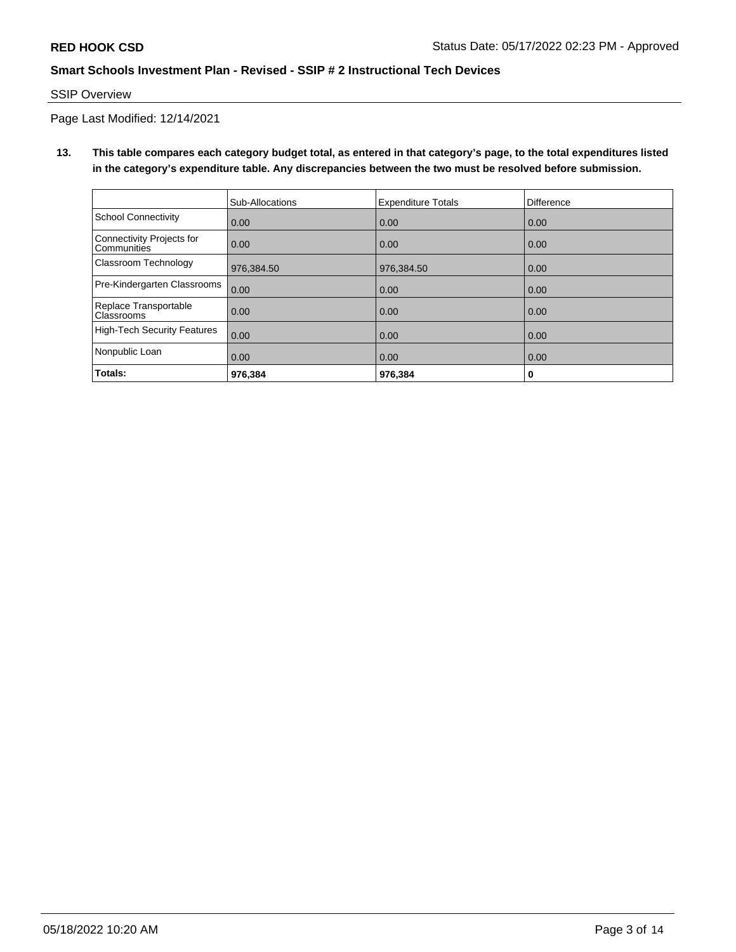## SSIP Overview

Page Last Modified: 12/14/2021

**13. This table compares each category budget total, as entered in that category's page, to the total expenditures listed in the category's expenditure table. Any discrepancies between the two must be resolved before submission.**

|                                                 | Sub-Allocations | <b>Expenditure Totals</b> | Difference |
|-------------------------------------------------|-----------------|---------------------------|------------|
| School Connectivity                             | 0.00            | 0.00                      | 0.00       |
| Connectivity Projects for<br><b>Communities</b> | 0.00            | 0.00                      | 0.00       |
| Classroom Technology                            | 976,384.50      | 976,384.50                | 0.00       |
| Pre-Kindergarten Classrooms                     | 0.00            | 0.00                      | 0.00       |
| Replace Transportable<br>Classrooms             | 0.00            | 0.00                      | 0.00       |
| High-Tech Security Features                     | 0.00            | 0.00                      | 0.00       |
| Nonpublic Loan                                  | 0.00            | 0.00                      | 0.00       |
| Totals:                                         | 976.384         | 976.384                   | 0          |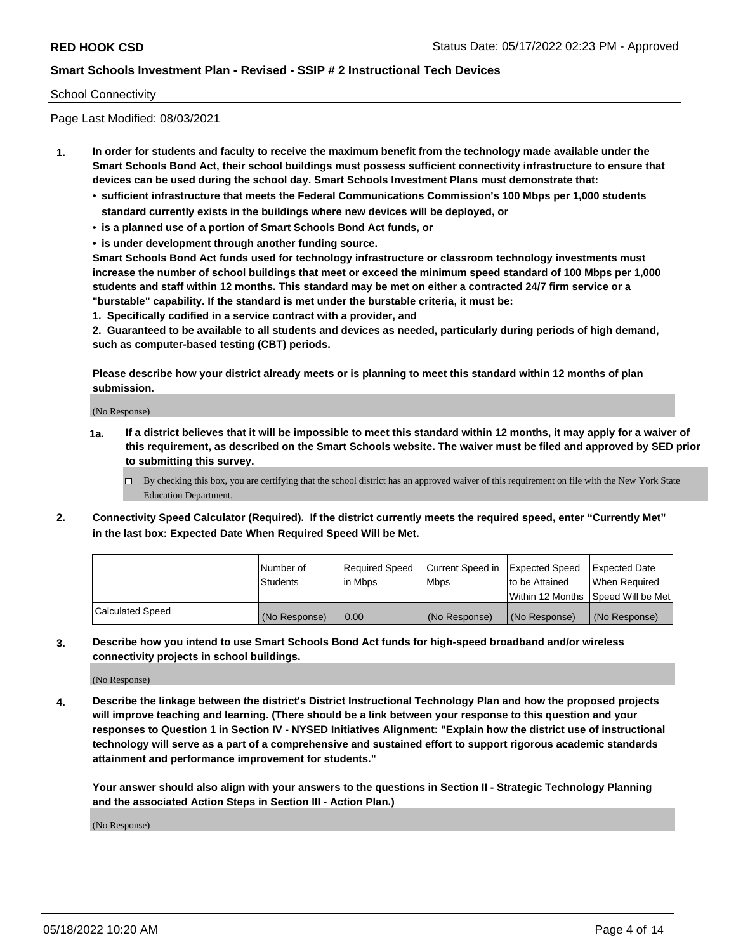## School Connectivity

Page Last Modified: 08/03/2021

- **1. In order for students and faculty to receive the maximum benefit from the technology made available under the Smart Schools Bond Act, their school buildings must possess sufficient connectivity infrastructure to ensure that devices can be used during the school day. Smart Schools Investment Plans must demonstrate that:**
	- **• sufficient infrastructure that meets the Federal Communications Commission's 100 Mbps per 1,000 students standard currently exists in the buildings where new devices will be deployed, or**
	- **• is a planned use of a portion of Smart Schools Bond Act funds, or**
	- **• is under development through another funding source.**

**Smart Schools Bond Act funds used for technology infrastructure or classroom technology investments must increase the number of school buildings that meet or exceed the minimum speed standard of 100 Mbps per 1,000 students and staff within 12 months. This standard may be met on either a contracted 24/7 firm service or a "burstable" capability. If the standard is met under the burstable criteria, it must be:**

**1. Specifically codified in a service contract with a provider, and**

**2. Guaranteed to be available to all students and devices as needed, particularly during periods of high demand, such as computer-based testing (CBT) periods.**

**Please describe how your district already meets or is planning to meet this standard within 12 months of plan submission.**

(No Response)

- **1a. If a district believes that it will be impossible to meet this standard within 12 months, it may apply for a waiver of this requirement, as described on the Smart Schools website. The waiver must be filed and approved by SED prior to submitting this survey.**
	- By checking this box, you are certifying that the school district has an approved waiver of this requirement on file with the New York State Education Department.
- **2. Connectivity Speed Calculator (Required). If the district currently meets the required speed, enter "Currently Met" in the last box: Expected Date When Required Speed Will be Met.**

|                         | l Number of     | Required Speed | Current Speed in   Expected Speed |                                      | Expected Date |
|-------------------------|-----------------|----------------|-----------------------------------|--------------------------------------|---------------|
|                         | <b>Students</b> | lin Mbps       | <b>Mbps</b>                       | to be Attained                       | When Required |
|                         |                 |                |                                   | Within 12 Months   Speed Will be Met |               |
| <b>Calculated Speed</b> | (No Response)   | 0.00           | (No Response)                     | (No Response)                        | (No Response) |

**3. Describe how you intend to use Smart Schools Bond Act funds for high-speed broadband and/or wireless connectivity projects in school buildings.**

(No Response)

**4. Describe the linkage between the district's District Instructional Technology Plan and how the proposed projects will improve teaching and learning. (There should be a link between your response to this question and your responses to Question 1 in Section IV - NYSED Initiatives Alignment: "Explain how the district use of instructional technology will serve as a part of a comprehensive and sustained effort to support rigorous academic standards attainment and performance improvement for students."** 

**Your answer should also align with your answers to the questions in Section II - Strategic Technology Planning and the associated Action Steps in Section III - Action Plan.)**

(No Response)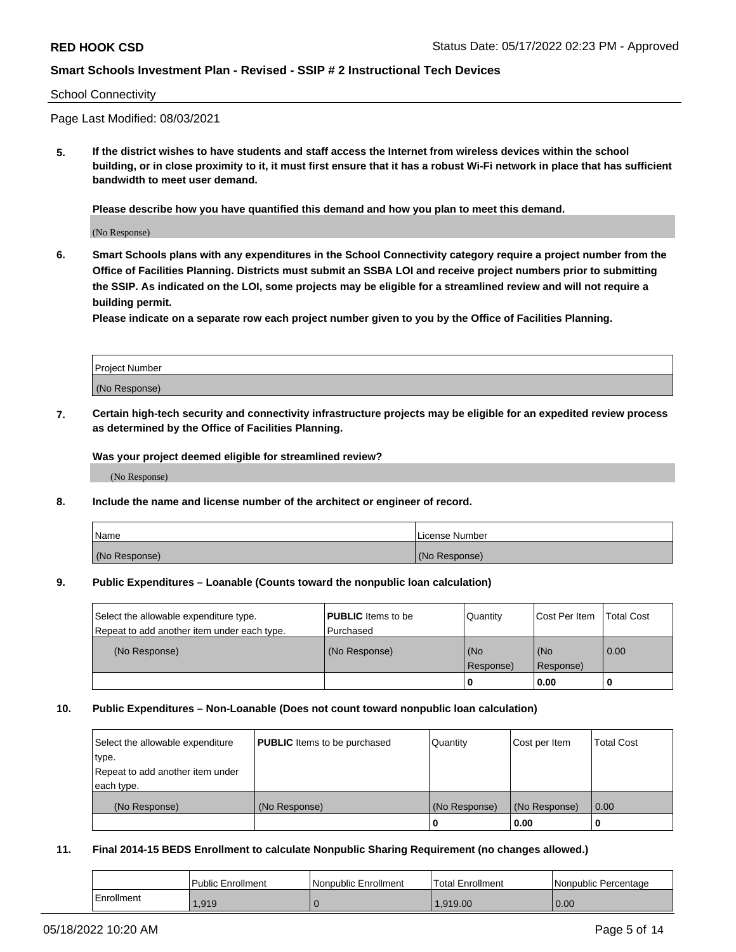### School Connectivity

Page Last Modified: 08/03/2021

**5. If the district wishes to have students and staff access the Internet from wireless devices within the school building, or in close proximity to it, it must first ensure that it has a robust Wi-Fi network in place that has sufficient bandwidth to meet user demand.**

**Please describe how you have quantified this demand and how you plan to meet this demand.**

(No Response)

**6. Smart Schools plans with any expenditures in the School Connectivity category require a project number from the Office of Facilities Planning. Districts must submit an SSBA LOI and receive project numbers prior to submitting the SSIP. As indicated on the LOI, some projects may be eligible for a streamlined review and will not require a building permit.**

**Please indicate on a separate row each project number given to you by the Office of Facilities Planning.**

| Project Number   |  |
|------------------|--|
| (No<br>Response) |  |

**7. Certain high-tech security and connectivity infrastructure projects may be eligible for an expedited review process as determined by the Office of Facilities Planning.**

**Was your project deemed eligible for streamlined review?**

(No Response)

#### **8. Include the name and license number of the architect or engineer of record.**

| Name          | License Number |
|---------------|----------------|
| (No Response) | (No Response)  |

#### **9. Public Expenditures – Loanable (Counts toward the nonpublic loan calculation)**

| Select the allowable expenditure type.<br>Repeat to add another item under each type. | <b>PUBLIC</b> Items to be<br>l Purchased | Quantity         | Cost Per Item    | <b>Total Cost</b> |
|---------------------------------------------------------------------------------------|------------------------------------------|------------------|------------------|-------------------|
| (No Response)                                                                         | (No Response)                            | (No<br>Response) | (No<br>Response) | $\overline{0.00}$ |
|                                                                                       |                                          | -0               | 0.00             |                   |

## **10. Public Expenditures – Non-Loanable (Does not count toward nonpublic loan calculation)**

| Select the allowable expenditure | <b>PUBLIC</b> Items to be purchased | Quantity      | Cost per Item | <b>Total Cost</b> |
|----------------------------------|-------------------------------------|---------------|---------------|-------------------|
| type.                            |                                     |               |               |                   |
| Repeat to add another item under |                                     |               |               |                   |
| each type.                       |                                     |               |               |                   |
| (No Response)                    | (No Response)                       | (No Response) | (No Response) | 0.00              |
|                                  |                                     | U             | 0.00          |                   |

## **11. Final 2014-15 BEDS Enrollment to calculate Nonpublic Sharing Requirement (no changes allowed.)**

|            | <b>Public Enrollment</b> | Nonpublic Enrollment | 'Total Enrollment | l Nonpublic Percentage |
|------------|--------------------------|----------------------|-------------------|------------------------|
| Enrollment | .919                     |                      | 1.919.00          | 0.00                   |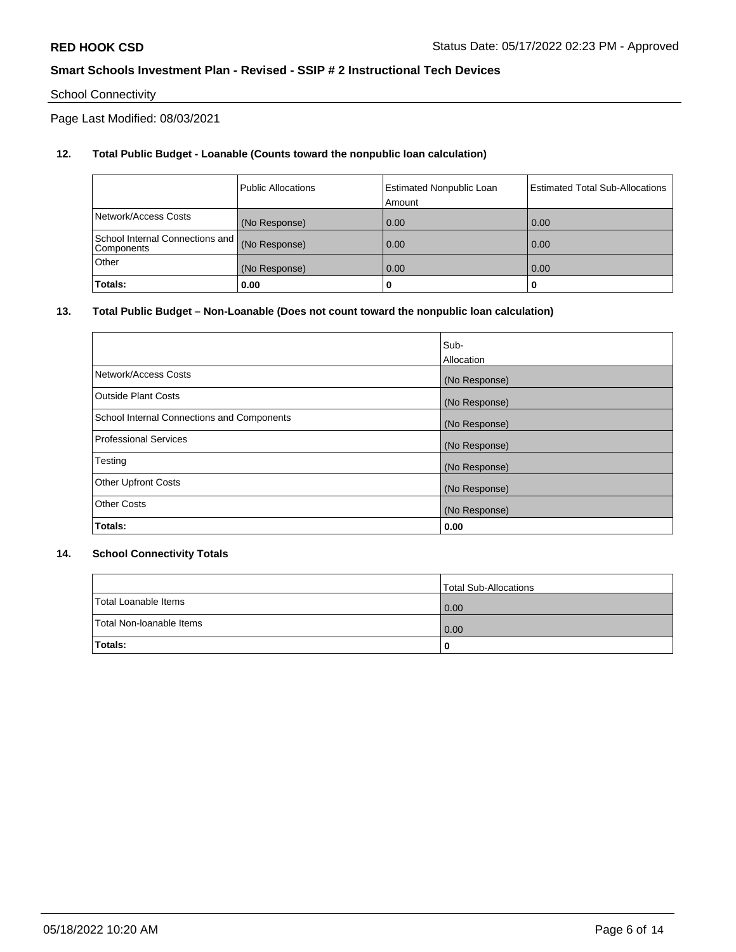# School Connectivity

Page Last Modified: 08/03/2021

# **12. Total Public Budget - Loanable (Counts toward the nonpublic loan calculation)**

|                                               | <b>Public Allocations</b> | <b>Estimated Nonpublic Loan</b><br>Amount | <b>Estimated Total Sub-Allocations</b> |
|-----------------------------------------------|---------------------------|-------------------------------------------|----------------------------------------|
| Network/Access Costs                          | (No Response)             | 0.00                                      | 0.00                                   |
| School Internal Connections and<br>Components | (No Response)             | 0.00                                      | 0.00                                   |
| Other                                         | (No Response)             | 0.00                                      | 0.00                                   |
| Totals:                                       | 0.00                      |                                           |                                        |

# **13. Total Public Budget – Non-Loanable (Does not count toward the nonpublic loan calculation)**

|                                            | Sub-          |
|--------------------------------------------|---------------|
|                                            | Allocation    |
| Network/Access Costs                       | (No Response) |
| <b>Outside Plant Costs</b>                 | (No Response) |
| School Internal Connections and Components | (No Response) |
| <b>Professional Services</b>               | (No Response) |
| Testing                                    | (No Response) |
| <b>Other Upfront Costs</b>                 | (No Response) |
| <b>Other Costs</b>                         | (No Response) |
| Totals:                                    | 0.00          |

## **14. School Connectivity Totals**

|                          | Total Sub-Allocations |
|--------------------------|-----------------------|
| Total Loanable Items     | 0.00                  |
| Total Non-Ioanable Items | 0.00                  |
| Totals:                  | 0                     |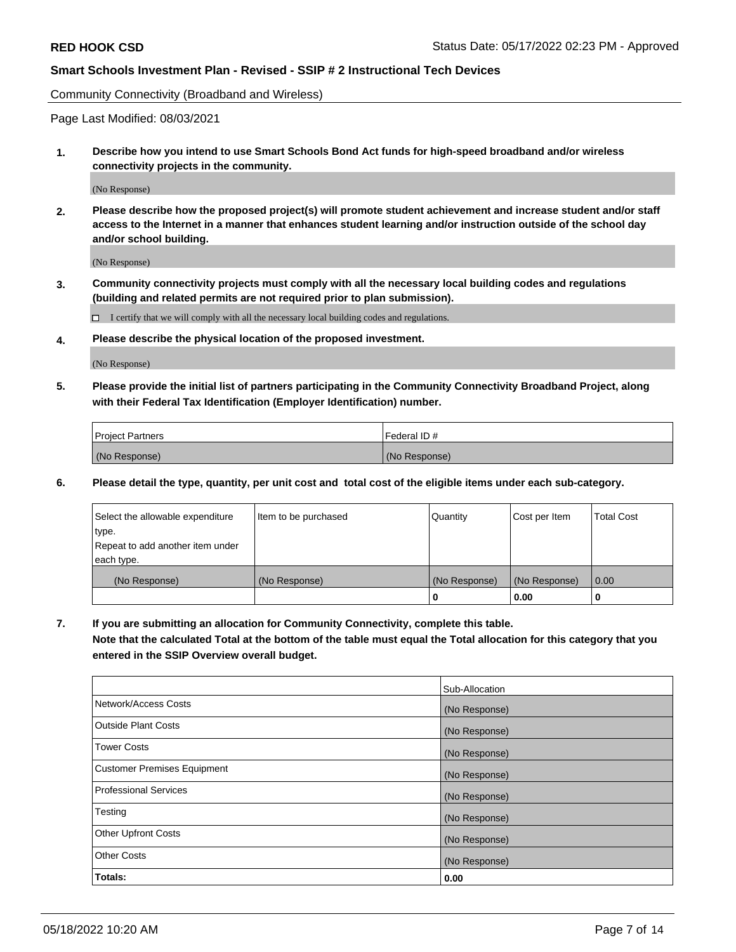Community Connectivity (Broadband and Wireless)

Page Last Modified: 08/03/2021

**1. Describe how you intend to use Smart Schools Bond Act funds for high-speed broadband and/or wireless connectivity projects in the community.**

(No Response)

**2. Please describe how the proposed project(s) will promote student achievement and increase student and/or staff access to the Internet in a manner that enhances student learning and/or instruction outside of the school day and/or school building.**

(No Response)

**3. Community connectivity projects must comply with all the necessary local building codes and regulations (building and related permits are not required prior to plan submission).**

 $\Box$  I certify that we will comply with all the necessary local building codes and regulations.

**4. Please describe the physical location of the proposed investment.**

(No Response)

**5. Please provide the initial list of partners participating in the Community Connectivity Broadband Project, along with their Federal Tax Identification (Employer Identification) number.**

| <b>Project Partners</b> | Federal ID#   |
|-------------------------|---------------|
| (No Response)           | (No Response) |

**6. Please detail the type, quantity, per unit cost and total cost of the eligible items under each sub-category.**

| Select the allowable expenditure | Item to be purchased | Quantity      | Cost per Item | <b>Total Cost</b> |
|----------------------------------|----------------------|---------------|---------------|-------------------|
| type.                            |                      |               |               |                   |
| Repeat to add another item under |                      |               |               |                   |
| each type.                       |                      |               |               |                   |
| (No Response)                    | (No Response)        | (No Response) | (No Response) | 0.00              |
|                                  |                      | 0             | 0.00          |                   |

**7. If you are submitting an allocation for Community Connectivity, complete this table.**

**Note that the calculated Total at the bottom of the table must equal the Total allocation for this category that you entered in the SSIP Overview overall budget.**

|                                    | Sub-Allocation |
|------------------------------------|----------------|
| Network/Access Costs               | (No Response)  |
| Outside Plant Costs                | (No Response)  |
| <b>Tower Costs</b>                 | (No Response)  |
| <b>Customer Premises Equipment</b> | (No Response)  |
| Professional Services              | (No Response)  |
| Testing                            | (No Response)  |
| <b>Other Upfront Costs</b>         | (No Response)  |
| <b>Other Costs</b>                 | (No Response)  |
| Totals:                            | 0.00           |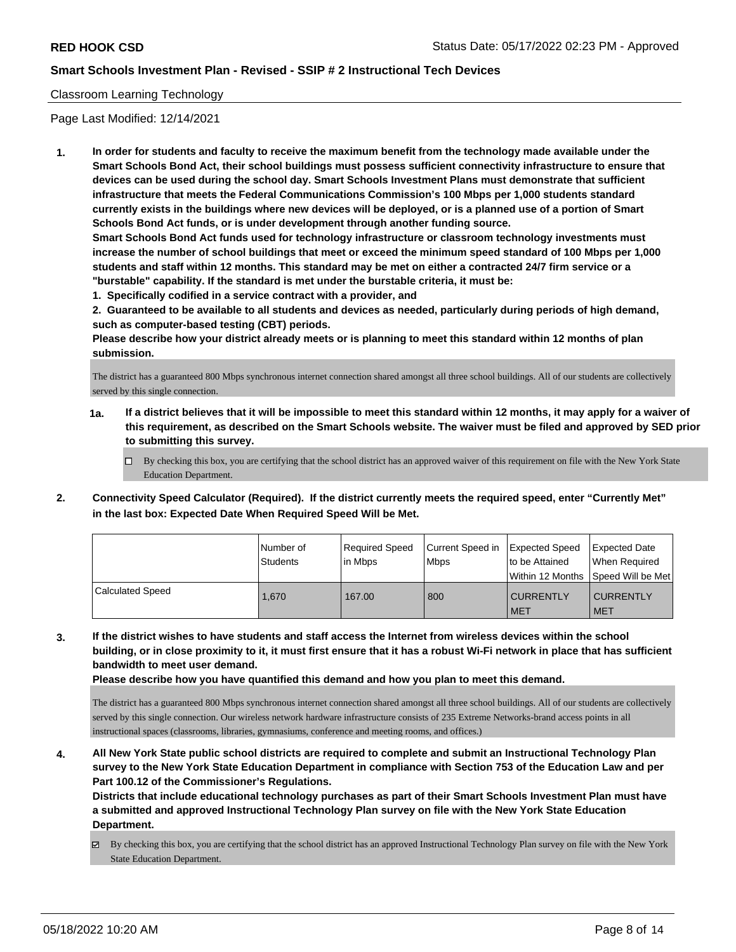## Classroom Learning Technology

Page Last Modified: 12/14/2021

**1. In order for students and faculty to receive the maximum benefit from the technology made available under the Smart Schools Bond Act, their school buildings must possess sufficient connectivity infrastructure to ensure that devices can be used during the school day. Smart Schools Investment Plans must demonstrate that sufficient infrastructure that meets the Federal Communications Commission's 100 Mbps per 1,000 students standard currently exists in the buildings where new devices will be deployed, or is a planned use of a portion of Smart Schools Bond Act funds, or is under development through another funding source.**

**Smart Schools Bond Act funds used for technology infrastructure or classroom technology investments must increase the number of school buildings that meet or exceed the minimum speed standard of 100 Mbps per 1,000 students and staff within 12 months. This standard may be met on either a contracted 24/7 firm service or a "burstable" capability. If the standard is met under the burstable criteria, it must be:**

**1. Specifically codified in a service contract with a provider, and**

**2. Guaranteed to be available to all students and devices as needed, particularly during periods of high demand, such as computer-based testing (CBT) periods.**

**Please describe how your district already meets or is planning to meet this standard within 12 months of plan submission.**

The district has a guaranteed 800 Mbps synchronous internet connection shared amongst all three school buildings. All of our students are collectively served by this single connection.

- **1a. If a district believes that it will be impossible to meet this standard within 12 months, it may apply for a waiver of this requirement, as described on the Smart Schools website. The waiver must be filed and approved by SED prior to submitting this survey.**
	- By checking this box, you are certifying that the school district has an approved waiver of this requirement on file with the New York State Education Department.
- **2. Connectivity Speed Calculator (Required). If the district currently meets the required speed, enter "Currently Met" in the last box: Expected Date When Required Speed Will be Met.**

|                         | Number of<br><b>Students</b> | Required Speed<br>l in Mbps | Current Speed in<br>Mbps <sup>1</sup> | <b>Expected Speed</b><br>to be Attained<br>Within 12 Months SDeed Will be Met | Expected Date<br>When Required |
|-------------------------|------------------------------|-----------------------------|---------------------------------------|-------------------------------------------------------------------------------|--------------------------------|
| <b>Calculated Speed</b> | 1.670                        | 167.00                      | 800                                   | <b>CURRENTLY</b><br><b>MET</b>                                                | <b>CURRENTLY</b><br><b>MET</b> |

**3. If the district wishes to have students and staff access the Internet from wireless devices within the school building, or in close proximity to it, it must first ensure that it has a robust Wi-Fi network in place that has sufficient bandwidth to meet user demand.**

**Please describe how you have quantified this demand and how you plan to meet this demand.**

The district has a guaranteed 800 Mbps synchronous internet connection shared amongst all three school buildings. All of our students are collectively served by this single connection. Our wireless network hardware infrastructure consists of 235 Extreme Networks-brand access points in all instructional spaces (classrooms, libraries, gymnasiums, conference and meeting rooms, and offices.)

**4. All New York State public school districts are required to complete and submit an Instructional Technology Plan survey to the New York State Education Department in compliance with Section 753 of the Education Law and per Part 100.12 of the Commissioner's Regulations.**

**Districts that include educational technology purchases as part of their Smart Schools Investment Plan must have a submitted and approved Instructional Technology Plan survey on file with the New York State Education Department.**

By checking this box, you are certifying that the school district has an approved Instructional Technology Plan survey on file with the New York State Education Department.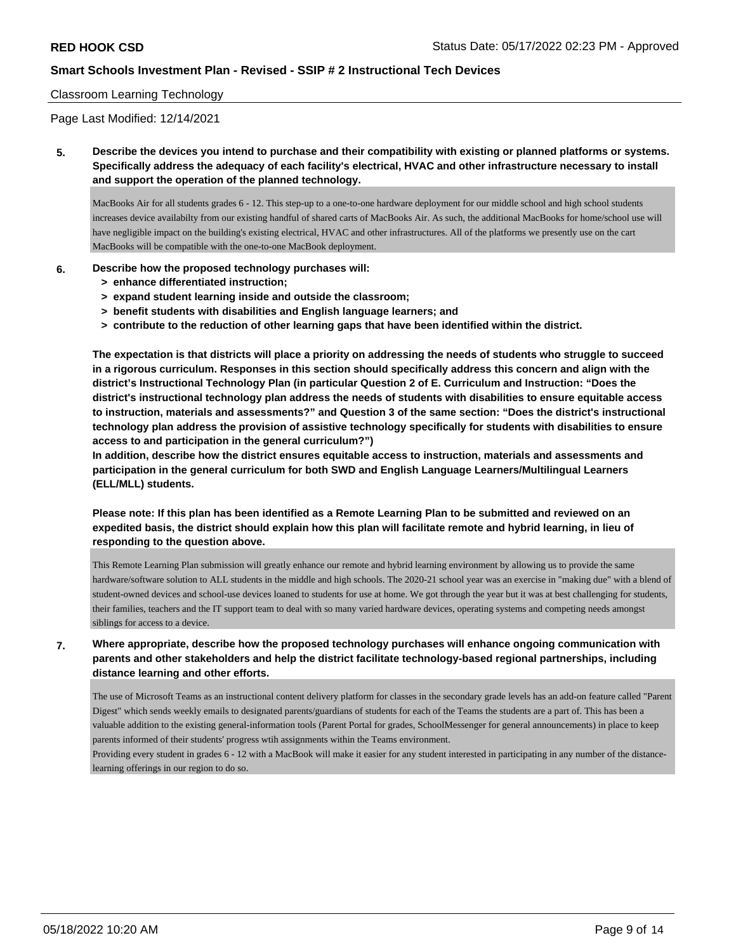### Classroom Learning Technology

Page Last Modified: 12/14/2021

**5. Describe the devices you intend to purchase and their compatibility with existing or planned platforms or systems. Specifically address the adequacy of each facility's electrical, HVAC and other infrastructure necessary to install and support the operation of the planned technology.**

MacBooks Air for all students grades 6 - 12. This step-up to a one-to-one hardware deployment for our middle school and high school students increases device availabilty from our existing handful of shared carts of MacBooks Air. As such, the additional MacBooks for home/school use will have negligible impact on the building's existing electrical, HVAC and other infrastructures. All of the platforms we presently use on the cart MacBooks will be compatible with the one-to-one MacBook deployment.

## **6. Describe how the proposed technology purchases will:**

- **> enhance differentiated instruction;**
- **> expand student learning inside and outside the classroom;**
- **> benefit students with disabilities and English language learners; and**
- **> contribute to the reduction of other learning gaps that have been identified within the district.**

**The expectation is that districts will place a priority on addressing the needs of students who struggle to succeed in a rigorous curriculum. Responses in this section should specifically address this concern and align with the district's Instructional Technology Plan (in particular Question 2 of E. Curriculum and Instruction: "Does the district's instructional technology plan address the needs of students with disabilities to ensure equitable access to instruction, materials and assessments?" and Question 3 of the same section: "Does the district's instructional technology plan address the provision of assistive technology specifically for students with disabilities to ensure access to and participation in the general curriculum?")**

**In addition, describe how the district ensures equitable access to instruction, materials and assessments and participation in the general curriculum for both SWD and English Language Learners/Multilingual Learners (ELL/MLL) students.**

**Please note: If this plan has been identified as a Remote Learning Plan to be submitted and reviewed on an expedited basis, the district should explain how this plan will facilitate remote and hybrid learning, in lieu of responding to the question above.**

This Remote Learning Plan submission will greatly enhance our remote and hybrid learning environment by allowing us to provide the same hardware/software solution to ALL students in the middle and high schools. The 2020-21 school year was an exercise in "making due" with a blend of student-owned devices and school-use devices loaned to students for use at home. We got through the year but it was at best challenging for students, their families, teachers and the IT support team to deal with so many varied hardware devices, operating systems and competing needs amongst siblings for access to a device.

**7. Where appropriate, describe how the proposed technology purchases will enhance ongoing communication with parents and other stakeholders and help the district facilitate technology-based regional partnerships, including distance learning and other efforts.**

The use of Microsoft Teams as an instructional content delivery platform for classes in the secondary grade levels has an add-on feature called "Parent Digest" which sends weekly emails to designated parents/guardians of students for each of the Teams the students are a part of. This has been a valuable addition to the existing general-information tools (Parent Portal for grades, SchoolMessenger for general announcements) in place to keep parents informed of their students' progress wtih assignments within the Teams environment.

Providing every student in grades 6 - 12 with a MacBook will make it easier for any student interested in participating in any number of the distancelearning offerings in our region to do so.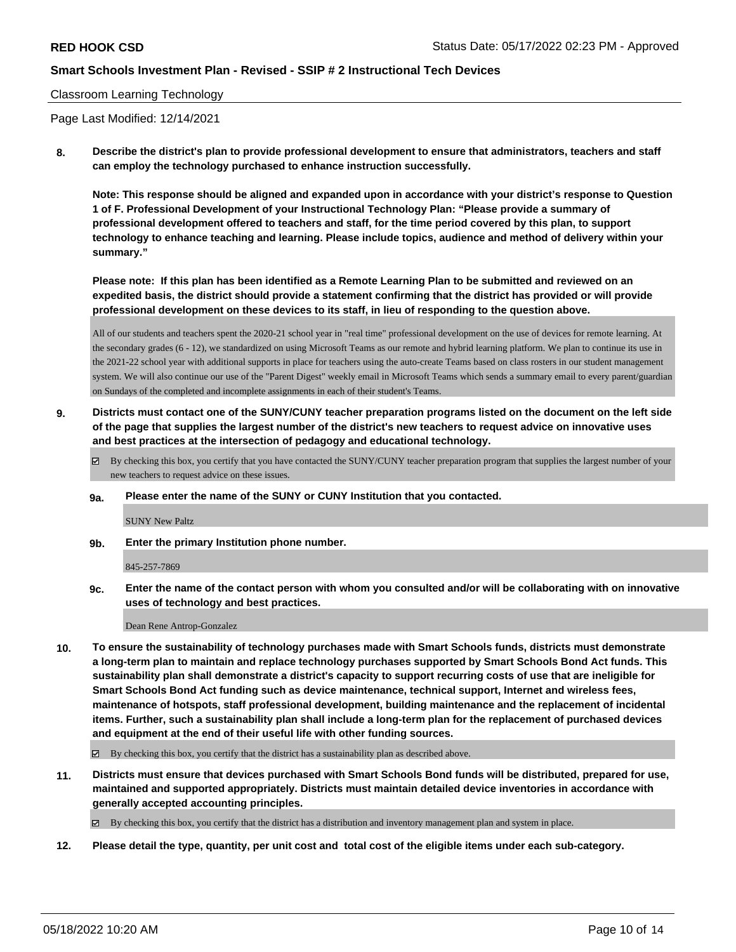## Classroom Learning Technology

Page Last Modified: 12/14/2021

**8. Describe the district's plan to provide professional development to ensure that administrators, teachers and staff can employ the technology purchased to enhance instruction successfully.**

**Note: This response should be aligned and expanded upon in accordance with your district's response to Question 1 of F. Professional Development of your Instructional Technology Plan: "Please provide a summary of professional development offered to teachers and staff, for the time period covered by this plan, to support technology to enhance teaching and learning. Please include topics, audience and method of delivery within your summary."**

**Please note: If this plan has been identified as a Remote Learning Plan to be submitted and reviewed on an expedited basis, the district should provide a statement confirming that the district has provided or will provide professional development on these devices to its staff, in lieu of responding to the question above.**

All of our students and teachers spent the 2020-21 school year in "real time" professional development on the use of devices for remote learning. At the secondary grades (6 - 12), we standardized on using Microsoft Teams as our remote and hybrid learning platform. We plan to continue its use in the 2021-22 school year with additional supports in place for teachers using the auto-create Teams based on class rosters in our student management system. We will also continue our use of the "Parent Digest" weekly email in Microsoft Teams which sends a summary email to every parent/guardian on Sundays of the completed and incomplete assignments in each of their student's Teams.

**9. Districts must contact one of the SUNY/CUNY teacher preparation programs listed on the document on the left side of the page that supplies the largest number of the district's new teachers to request advice on innovative uses and best practices at the intersection of pedagogy and educational technology.**

By checking this box, you certify that you have contacted the SUNY/CUNY teacher preparation program that supplies the largest number of your new teachers to request advice on these issues.

**9a. Please enter the name of the SUNY or CUNY Institution that you contacted.**

SUNY New Paltz

**9b. Enter the primary Institution phone number.**

845-257-7869

**9c. Enter the name of the contact person with whom you consulted and/or will be collaborating with on innovative uses of technology and best practices.**

Dean Rene Antrop-Gonzalez

**10. To ensure the sustainability of technology purchases made with Smart Schools funds, districts must demonstrate a long-term plan to maintain and replace technology purchases supported by Smart Schools Bond Act funds. This sustainability plan shall demonstrate a district's capacity to support recurring costs of use that are ineligible for Smart Schools Bond Act funding such as device maintenance, technical support, Internet and wireless fees, maintenance of hotspots, staff professional development, building maintenance and the replacement of incidental items. Further, such a sustainability plan shall include a long-term plan for the replacement of purchased devices and equipment at the end of their useful life with other funding sources.**

 $\boxtimes$  By checking this box, you certify that the district has a sustainability plan as described above.

**11. Districts must ensure that devices purchased with Smart Schools Bond funds will be distributed, prepared for use, maintained and supported appropriately. Districts must maintain detailed device inventories in accordance with generally accepted accounting principles.**

By checking this box, you certify that the district has a distribution and inventory management plan and system in place.

**12. Please detail the type, quantity, per unit cost and total cost of the eligible items under each sub-category.**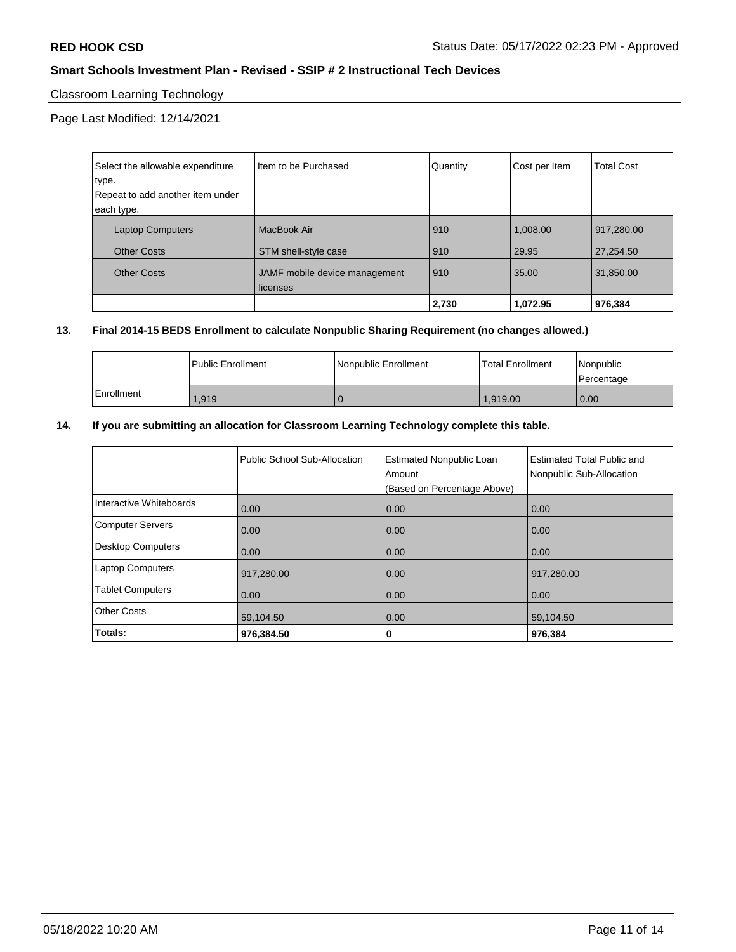# Classroom Learning Technology

Page Last Modified: 12/14/2021

| Select the allowable expenditure | I Item to be Purchased        | Quantity | Cost per Item | <b>Total Cost</b> |
|----------------------------------|-------------------------------|----------|---------------|-------------------|
| type.                            |                               |          |               |                   |
| Repeat to add another item under |                               |          |               |                   |
| each type.                       |                               |          |               |                   |
| <b>Laptop Computers</b>          | MacBook Air                   | 910      | 1,008.00      | 917,280.00        |
| <b>Other Costs</b>               | STM shell-style case          | 910      | 29.95         | 27,254.50         |
| <b>Other Costs</b>               | JAMF mobile device management | 910      | 35.00         | 31,850.00         |
|                                  | licenses                      |          |               |                   |
|                                  |                               | 2,730    | 1,072.95      | 976,384           |

# **13. Final 2014-15 BEDS Enrollment to calculate Nonpublic Sharing Requirement (no changes allowed.)**

|            | l Public Enrollment | Nonpublic Enrollment | l Total Enrollment | Nonpublic<br>l Percentage |
|------------|---------------------|----------------------|--------------------|---------------------------|
| Enrollment | 1.919               |                      | 1.919.00           | 0.00                      |

## **14. If you are submitting an allocation for Classroom Learning Technology complete this table.**

|                          | Public School Sub-Allocation | <b>Estimated Nonpublic Loan</b><br>Amount<br>(Based on Percentage Above) | Estimated Total Public and<br>Nonpublic Sub-Allocation |
|--------------------------|------------------------------|--------------------------------------------------------------------------|--------------------------------------------------------|
| Interactive Whiteboards  | 0.00                         | 0.00                                                                     | 0.00                                                   |
| <b>Computer Servers</b>  | 0.00                         | 0.00                                                                     | 0.00                                                   |
| <b>Desktop Computers</b> | 0.00                         | 0.00                                                                     | 0.00                                                   |
| <b>Laptop Computers</b>  | 917,280.00                   | 0.00                                                                     | 917,280.00                                             |
| <b>Tablet Computers</b>  | 0.00                         | 0.00                                                                     | 0.00                                                   |
| <b>Other Costs</b>       | 59,104.50                    | 0.00                                                                     | 59,104.50                                              |
| Totals:                  | 976,384.50                   | 0                                                                        | 976,384                                                |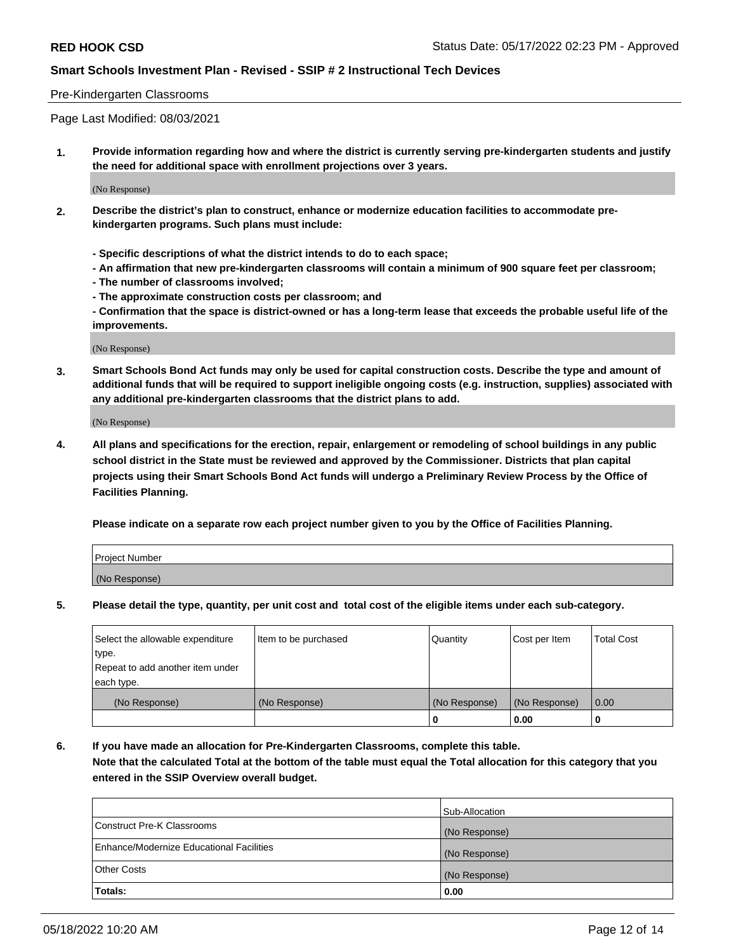### Pre-Kindergarten Classrooms

Page Last Modified: 08/03/2021

**1. Provide information regarding how and where the district is currently serving pre-kindergarten students and justify the need for additional space with enrollment projections over 3 years.**

(No Response)

- **2. Describe the district's plan to construct, enhance or modernize education facilities to accommodate prekindergarten programs. Such plans must include:**
	- **Specific descriptions of what the district intends to do to each space;**
	- **An affirmation that new pre-kindergarten classrooms will contain a minimum of 900 square feet per classroom;**
	- **The number of classrooms involved;**
	- **The approximate construction costs per classroom; and**
	- **Confirmation that the space is district-owned or has a long-term lease that exceeds the probable useful life of the improvements.**

(No Response)

**3. Smart Schools Bond Act funds may only be used for capital construction costs. Describe the type and amount of additional funds that will be required to support ineligible ongoing costs (e.g. instruction, supplies) associated with any additional pre-kindergarten classrooms that the district plans to add.**

(No Response)

**4. All plans and specifications for the erection, repair, enlargement or remodeling of school buildings in any public school district in the State must be reviewed and approved by the Commissioner. Districts that plan capital projects using their Smart Schools Bond Act funds will undergo a Preliminary Review Process by the Office of Facilities Planning.**

**Please indicate on a separate row each project number given to you by the Office of Facilities Planning.**

| Project Number |  |
|----------------|--|
| (No Response)  |  |

**5. Please detail the type, quantity, per unit cost and total cost of the eligible items under each sub-category.**

| Select the allowable expenditure | Item to be purchased | Quantity      | Cost per Item | <b>Total Cost</b> |
|----------------------------------|----------------------|---------------|---------------|-------------------|
| type.                            |                      |               |               |                   |
| Repeat to add another item under |                      |               |               |                   |
| each type.                       |                      |               |               |                   |
| (No Response)                    | (No Response)        | (No Response) | (No Response) | 0.00              |
|                                  |                      | 0             | 0.00          |                   |

**6. If you have made an allocation for Pre-Kindergarten Classrooms, complete this table.**

**Note that the calculated Total at the bottom of the table must equal the Total allocation for this category that you entered in the SSIP Overview overall budget.**

|                                          | Sub-Allocation |
|------------------------------------------|----------------|
| Construct Pre-K Classrooms               | (No Response)  |
| Enhance/Modernize Educational Facilities | (No Response)  |
| <b>Other Costs</b>                       | (No Response)  |
| Totals:                                  | 0.00           |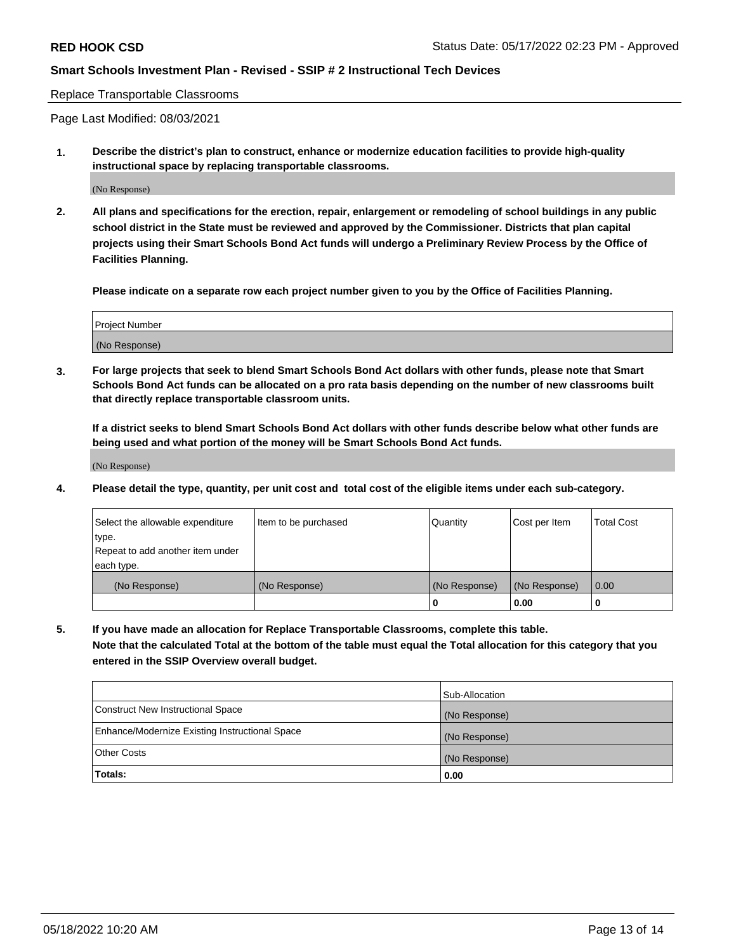#### Replace Transportable Classrooms

Page Last Modified: 08/03/2021

**1. Describe the district's plan to construct, enhance or modernize education facilities to provide high-quality instructional space by replacing transportable classrooms.**

(No Response)

**2. All plans and specifications for the erection, repair, enlargement or remodeling of school buildings in any public school district in the State must be reviewed and approved by the Commissioner. Districts that plan capital projects using their Smart Schools Bond Act funds will undergo a Preliminary Review Process by the Office of Facilities Planning.**

**Please indicate on a separate row each project number given to you by the Office of Facilities Planning.**

| <b>Project Number</b> |  |
|-----------------------|--|
| (No Response)         |  |

**3. For large projects that seek to blend Smart Schools Bond Act dollars with other funds, please note that Smart Schools Bond Act funds can be allocated on a pro rata basis depending on the number of new classrooms built that directly replace transportable classroom units.**

**If a district seeks to blend Smart Schools Bond Act dollars with other funds describe below what other funds are being used and what portion of the money will be Smart Schools Bond Act funds.**

(No Response)

**4. Please detail the type, quantity, per unit cost and total cost of the eligible items under each sub-category.**

| Select the allowable expenditure | Item to be purchased | Quantity      | Cost per Item | <b>Total Cost</b> |
|----------------------------------|----------------------|---------------|---------------|-------------------|
| type.                            |                      |               |               |                   |
| Repeat to add another item under |                      |               |               |                   |
| each type.                       |                      |               |               |                   |
| (No Response)                    | (No Response)        | (No Response) | (No Response) | 0.00              |
|                                  |                      | U             | 0.00          |                   |

**5. If you have made an allocation for Replace Transportable Classrooms, complete this table.**

**Note that the calculated Total at the bottom of the table must equal the Total allocation for this category that you entered in the SSIP Overview overall budget.**

|                                                | Sub-Allocation |
|------------------------------------------------|----------------|
| Construct New Instructional Space              | (No Response)  |
| Enhance/Modernize Existing Instructional Space | (No Response)  |
| <b>Other Costs</b>                             | (No Response)  |
| Totals:                                        | 0.00           |